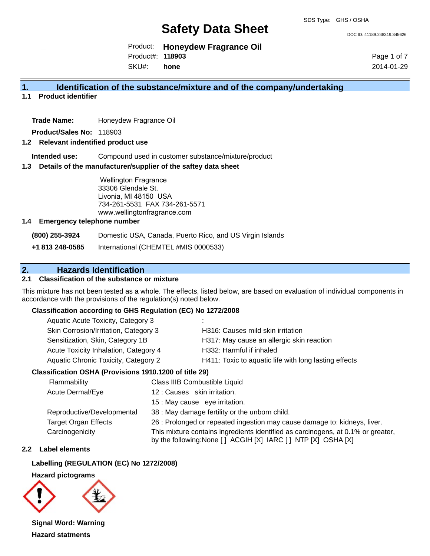DOC ID: 41189.248319.345626

Product: **Honeydew Fragrance Oil** Product#: **118903**

SKU#: **hone** Page 1 of 7 2014-01-29

## **1. Identification of the substance/mixture and of the company/undertaking**

**1.1 Product identifier**

**Trade Name:** Honeydew Fragrance Oil

**Product/Sales No:** 118903

### **1.2 Relevant indentified product use**

**Intended use:** Compound used in customer substance/mixture/product

#### **1.3 Details of the manufacturer/supplier of the saftey data sheet**

Wellington Fragrance 33306 Glendale St. Livonia, MI 48150 USA 734-261-5531 FAX 734-261-5571 www.wellingtonfragrance.com

#### **1.4 Emergency telephone number**

**(800) 255-3924** Domestic USA, Canada, Puerto Rico, and US Virgin Islands

**+1 813 248-0585** International (CHEMTEL #MIS 0000533)

## **2. Hazards Identification**

## **2.1 Classification of the substance or mixture**

This mixture has not been tested as a whole. The effects, listed below, are based on evaluation of individual components in accordance with the provisions of the regulation(s) noted below.

#### **Classification according to GHS Regulation (EC) No 1272/2008**

| Aquatic Acute Toxicity, Category 3    |                                                       |
|---------------------------------------|-------------------------------------------------------|
| Skin Corrosion/Irritation, Category 3 | H316: Causes mild skin irritation                     |
| Sensitization, Skin, Category 1B      | H317: May cause an allergic skin reaction             |
| Acute Toxicity Inhalation, Category 4 | H332: Harmful if inhaled                              |
| Aquatic Chronic Toxicity, Category 2  | H411: Toxic to aquatic life with long lasting effects |
|                                       |                                                       |

#### **Classification OSHA (Provisions 1910.1200 of title 29)**

| Flammability                | Class IIIB Combustible Liquid                                                                                                                      |
|-----------------------------|----------------------------------------------------------------------------------------------------------------------------------------------------|
| Acute Dermal/Eye            | 12: Causes skin irritation.                                                                                                                        |
|                             | 15 : May cause eye irritation.                                                                                                                     |
| Reproductive/Developmental  | 38 : May damage fertility or the unborn child.                                                                                                     |
| <b>Target Organ Effects</b> | 26 : Prolonged or repeated ingestion may cause damage to: kidneys, liver.                                                                          |
| Carcinogenicity             | This mixture contains ingredients identified as carcinogens, at 0.1% or greater,<br>by the following: None [ ] ACGIH [X] IARC [ ] NTP [X] OSHA [X] |

#### **2.2 Label elements**

#### **Labelling (REGULATION (EC) No 1272/2008)**

#### **Hazard pictograms**



**Signal Word: Warning Hazard statments**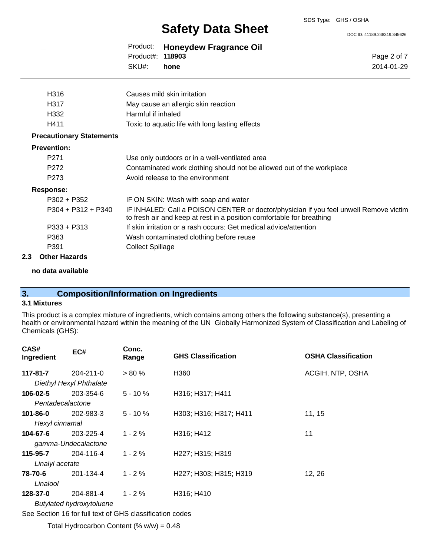DOC ID: 41189.248319.345626

Page 2 of 7 2014-01-29

Product: **Honeydew Fragrance Oil** SKU#: Product#: **118903 hone**

| H316                            | Causes mild skin irritation                                                                                                                                    |
|---------------------------------|----------------------------------------------------------------------------------------------------------------------------------------------------------------|
| H317                            | May cause an allergic skin reaction                                                                                                                            |
| H332                            | Harmful if inhaled                                                                                                                                             |
| H411                            | Toxic to aquatic life with long lasting effects                                                                                                                |
| <b>Precautionary Statements</b> |                                                                                                                                                                |
| <b>Prevention:</b>              |                                                                                                                                                                |
| P <sub>271</sub>                | Use only outdoors or in a well-ventilated area                                                                                                                 |
| P <sub>272</sub>                | Contaminated work clothing should not be allowed out of the workplace                                                                                          |
| P273                            | Avoid release to the environment                                                                                                                               |
| Response:                       |                                                                                                                                                                |
| P302 + P352                     | IF ON SKIN: Wash with soap and water                                                                                                                           |
| $P304 + P312 + P340$            | IF INHALED: Call a POISON CENTER or doctor/physician if you feel unwell Remove victim<br>to fresh air and keep at rest in a position comfortable for breathing |
| $P333 + P313$                   | If skin irritation or a rash occurs: Get medical advice/attention                                                                                              |
| P363                            | Wash contaminated clothing before reuse                                                                                                                        |
| P391                            | <b>Collect Spillage</b>                                                                                                                                        |

#### **2.3 Other Hazards**

#### **no data available**

## **3. Composition/Information on Ingredients**

## **3.1 Mixtures**

This product is a complex mixture of ingredients, which contains among others the following substance(s), presenting a health or environmental hazard within the meaning of the UN Globally Harmonized System of Classification and Labeling of Chemicals (GHS):

| CAS#<br>Ingredient | EC#                       | Conc.<br>Range | <b>GHS Classification</b> | <b>OSHA Classification</b> |
|--------------------|---------------------------|----------------|---------------------------|----------------------------|
| 117-81-7           | $204 - 211 - 0$           | $> 80 \%$      | H360                      | ACGIH, NTP, OSHA           |
|                    | Diethyl Hexyl Phthalate   |                |                           |                            |
| $106 - 02 - 5$     | 203-354-6                 | $5 - 10%$      | H316; H317; H411          |                            |
| Pentadecalactone   |                           |                |                           |                            |
| $101 - 86 - 0$     | 202-983-3                 | $5 - 10%$      | H303; H316; H317; H411    | 11, 15                     |
| Hexyl cinnamal     |                           |                |                           |                            |
| 104-67-6           | 203-225-4                 | $1 - 2 \%$     | H316; H412                | 11                         |
|                    | gamma-Undecalactone       |                |                           |                            |
| 115-95-7           | 204-116-4                 | $1 - 2 \%$     | H227; H315; H319          |                            |
| Linalyl acetate    |                           |                |                           |                            |
| 78-70-6            | 201-134-4                 | $1 - 2%$       | H227; H303; H315; H319    | 12, 26                     |
| Linalool           |                           |                |                           |                            |
| 128-37-0           | 204-881-4                 | $1 - 2%$       | H316; H410                |                            |
|                    | Dutyloted budges to use o |                |                           |                            |

*Butylated hydroxytoluene*

See Section 16 for full text of GHS classification codes

Total Hydrocarbon Content (%  $w/w = 0.48$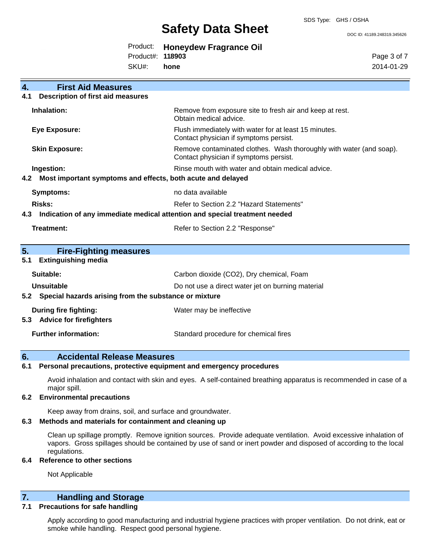SDS Type: GHS / OSHA

# **Safety Data Sheet**

DOC ID: 41189.248319.345626

|                         | Product: Honeydew Fragrance Oil |
|-------------------------|---------------------------------|
| Product#: <b>118903</b> |                                 |
| SKU#: hone              |                                 |

Page 3 of 7 2014-01-29

| 4.  | <b>First Aid Measures</b>                                                  |                                                                                                               |
|-----|----------------------------------------------------------------------------|---------------------------------------------------------------------------------------------------------------|
| 4.1 | <b>Description of first aid measures</b>                                   |                                                                                                               |
|     | Inhalation:                                                                | Remove from exposure site to fresh air and keep at rest.<br>Obtain medical advice.                            |
|     | <b>Eye Exposure:</b>                                                       | Flush immediately with water for at least 15 minutes.<br>Contact physician if symptoms persist.               |
|     | <b>Skin Exposure:</b>                                                      | Remove contaminated clothes. Wash thoroughly with water (and soap).<br>Contact physician if symptoms persist. |
|     | Ingestion:                                                                 | Rinse mouth with water and obtain medical advice.                                                             |
| 4.2 | Most important symptoms and effects, both acute and delayed                |                                                                                                               |
|     | <b>Symptoms:</b>                                                           | no data available                                                                                             |
|     | <b>Risks:</b>                                                              | Refer to Section 2.2 "Hazard Statements"                                                                      |
| 4.3 | Indication of any immediate medical attention and special treatment needed |                                                                                                               |
|     |                                                                            |                                                                                                               |
|     | Treatment:                                                                 | Refer to Section 2.2 "Response"                                                                               |
| 5.  | <b>Fire-Fighting measures</b>                                              |                                                                                                               |
| 5.1 | <b>Extinguishing media</b>                                                 |                                                                                                               |
|     | Suitable:                                                                  | Carbon dioxide (CO2), Dry chemical, Foam                                                                      |
|     | <b>Unsuitable</b>                                                          | Do not use a direct water jet on burning material                                                             |
| 5.2 | Special hazards arising from the substance or mixture                      |                                                                                                               |
| 5.3 | During fire fighting:<br><b>Advice for firefighters</b>                    | Water may be ineffective                                                                                      |

## **6. Accidental Release Measures**

#### **6.1 Personal precautions, protective equipment and emergency procedures**

Avoid inhalation and contact with skin and eyes. A self-contained breathing apparatus is recommended in case of a major spill.

#### **6.2 Environmental precautions**

Keep away from drains, soil, and surface and groundwater.

### **6.3 Methods and materials for containment and cleaning up**

Clean up spillage promptly. Remove ignition sources. Provide adequate ventilation. Avoid excessive inhalation of vapors. Gross spillages should be contained by use of sand or inert powder and disposed of according to the local regulations.

### **6.4 Reference to other sections**

Not Applicable

## **7. Handling and Storage**

## **7.1 Precautions for safe handling**

Apply according to good manufacturing and industrial hygiene practices with proper ventilation. Do not drink, eat or smoke while handling. Respect good personal hygiene.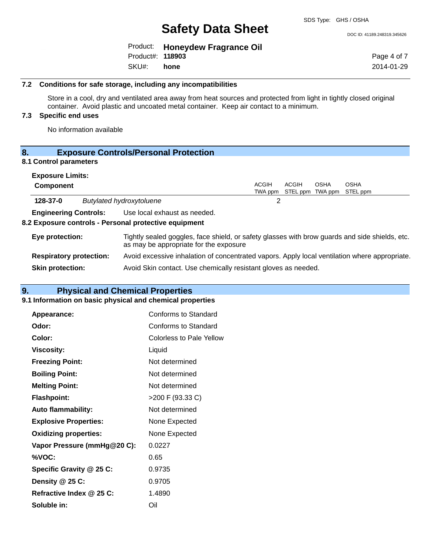DOC ID: 41189.248319.345626

|                         | Product: Honeydew Fragrance Oil |
|-------------------------|---------------------------------|
| Product#: <b>118903</b> |                                 |
| SKU#: hone              |                                 |

Page 4 of 7 2014-01-29

#### **7.2 Conditions for safe storage, including any incompatibilities**

Store in a cool, dry and ventilated area away from heat sources and protected from light in tightly closed original container. Avoid plastic and uncoated metal container. Keep air contact to a minimum.

## **7.3 Specific end uses**

No information available

## **8. Exposure Controls/Personal Protection**

## **8.1 Control parameters**

| <b>Exposure Limits:</b>      |                                |                                                                                                                                          |              |                                   |             |             |
|------------------------------|--------------------------------|------------------------------------------------------------------------------------------------------------------------------------------|--------------|-----------------------------------|-------------|-------------|
| <b>Component</b>             |                                |                                                                                                                                          | <b>ACGIH</b> | ACGIH                             | <b>OSHA</b> | <b>OSHA</b> |
|                              |                                |                                                                                                                                          |              | TWA ppm STEL ppm TWA ppm STEL ppm |             |             |
| 128-37-0                     |                                | <b>Butylated hydroxytoluene</b>                                                                                                          | 2            |                                   |             |             |
| <b>Engineering Controls:</b> |                                | Use local exhaust as needed.                                                                                                             |              |                                   |             |             |
|                              |                                | 8.2 Exposure controls - Personal protective equipment                                                                                    |              |                                   |             |             |
| Eye protection:              |                                | Tightly sealed goggles, face shield, or safety glasses with brow guards and side shields, etc.<br>as may be appropriate for the exposure |              |                                   |             |             |
|                              | <b>Respiratory protection:</b> | Avoid excessive inhalation of concentrated vapors. Apply local ventilation where appropriate.                                            |              |                                   |             |             |
| <b>Skin protection:</b>      |                                | Avoid Skin contact. Use chemically resistant gloves as needed.                                                                           |              |                                   |             |             |

## **9. Physical and Chemical Properties**

#### **9.1 Information on basic physical and chemical properties**

| Appearance:                  | Conforms to Standard            |
|------------------------------|---------------------------------|
| Odor:                        | Conforms to Standard            |
| Color:                       | <b>Colorless to Pale Yellow</b> |
| <b>Viscosity:</b>            | Liquid                          |
| <b>Freezing Point:</b>       | Not determined                  |
| <b>Boiling Point:</b>        | Not determined                  |
| <b>Melting Point:</b>        | Not determined                  |
| <b>Flashpoint:</b>           | >200 F (93.33 C)                |
| <b>Auto flammability:</b>    | Not determined                  |
| <b>Explosive Properties:</b> | None Expected                   |
| <b>Oxidizing properties:</b> | None Expected                   |
| Vapor Pressure (mmHg@20 C):  | 0.0227                          |
| %VOC:                        | 0.65                            |
| Specific Gravity @ 25 C:     | 0.9735                          |
| Density @ 25 C:              | 0.9705                          |
| Refractive Index @ 25 C:     | 1.4890                          |
| Soluble in:                  | Oil                             |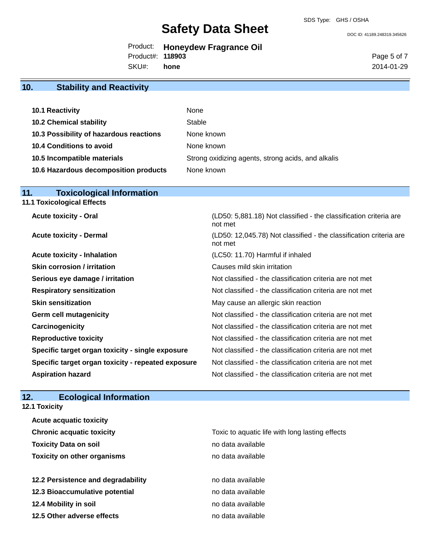not met

not met

DOC ID: 41189.248319.345626

|                         | Product: Honeydew Fragrance Oil |
|-------------------------|---------------------------------|
| Product#: <b>118903</b> |                                 |
| SKU#: hone              |                                 |

Page 5 of 7 2014-01-29

## **10. Stability and Reactivity**

| 10.1 Reactivity                         | None                                               |
|-----------------------------------------|----------------------------------------------------|
| <b>10.2 Chemical stability</b>          | Stable                                             |
| 10.3 Possibility of hazardous reactions | None known                                         |
| 10.4 Conditions to avoid                | None known                                         |
| 10.5 Incompatible materials             | Strong oxidizing agents, strong acids, and alkalis |
| 10.6 Hazardous decomposition products   | None known                                         |

## **11. Toxicological Information**

**11.1 Toxicological Effects**

**Acute toxicity - Oral** (LD50: 5,881.18) Not classified - the classification criteria are

**Acute toxicity - Dermal** (LD50: 12,045.78) Not classified - the classification criteria are

| <b>Acute toxicity - Inhalation</b>                 | (LC50: 11.70) Harmful if inhaled                         |
|----------------------------------------------------|----------------------------------------------------------|
| <b>Skin corrosion / irritation</b>                 | Causes mild skin irritation                              |
| Serious eye damage / irritation                    | Not classified - the classification criteria are not met |
| <b>Respiratory sensitization</b>                   | Not classified - the classification criteria are not met |
| <b>Skin sensitization</b>                          | May cause an allergic skin reaction                      |
| <b>Germ cell mutagenicity</b>                      | Not classified - the classification criteria are not met |
| Carcinogenicity                                    | Not classified - the classification criteria are not met |
| <b>Reproductive toxicity</b>                       | Not classified - the classification criteria are not met |
| Specific target organ toxicity - single exposure   | Not classified - the classification criteria are not met |
| Specific target organ toxicity - repeated exposure | Not classified - the classification criteria are not met |
| <b>Aspiration hazard</b>                           | Not classified - the classification criteria are not met |

## **12. Ecological Information**

#### **12.1 Toxicity**

| <b>Acute acquatic toxicity</b>     |                                                 |
|------------------------------------|-------------------------------------------------|
| <b>Chronic acquatic toxicity</b>   | Toxic to aquatic life with long lasting effects |
| <b>Toxicity Data on soil</b>       | no data available                               |
| <b>Toxicity on other organisms</b> | no data available                               |
|                                    |                                                 |
| 12.2 Persistence and degradability | no data available                               |
| 12.3 Bioaccumulative potential     | no data available                               |
| 12.4 Mobility in soil              | no data available                               |
| 12.5 Other adverse effects         | no data available                               |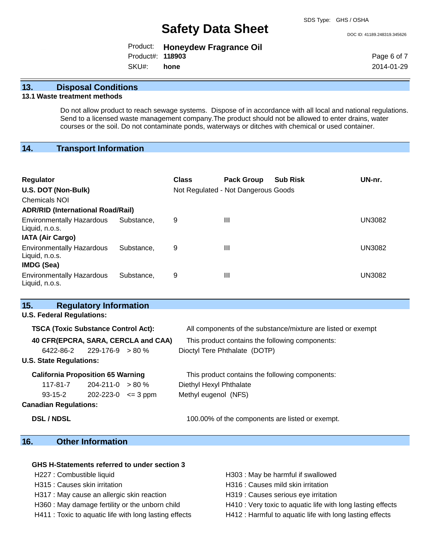DOC ID: 41189.248319.345626

|                         | Product: Honeydew Fragrance Oil |
|-------------------------|---------------------------------|
| Product#: <b>118903</b> |                                 |
| SKU#: hone              |                                 |

Page 6 of 7 2014-01-29

### **13. Disposal Conditions**

### **13.1 Waste treatment methods**

Do not allow product to reach sewage systems. Dispose of in accordance with all local and national regulations. Send to a licensed waste management company.The product should not be allowed to enter drains, water courses or the soil. Do not contaminate ponds, waterways or ditches with chemical or used container.

## **14. Transport Information**

| <b>Regulator</b><br>U.S. DOT (Non-Bulk)<br><b>Chemicals NOI</b> |                                          | <b>Class</b> | <b>Pack Group</b><br>Not Regulated - Not Dangerous Goods | <b>Sub Risk</b> | UN-nr. |  |
|-----------------------------------------------------------------|------------------------------------------|--------------|----------------------------------------------------------|-----------------|--------|--|
|                                                                 | <b>ADR/RID (International Road/Rail)</b> |              |                                                          |                 |        |  |
| <b>Environmentally Hazardous</b><br>Liquid, n.o.s.              | Substance.                               | 9            | Ш                                                        |                 | UN3082 |  |
| <b>IATA (Air Cargo)</b>                                         |                                          |              |                                                          |                 |        |  |
| <b>Environmentally Hazardous</b><br>Liquid, n.o.s.              | Substance.                               | 9            | Ш                                                        |                 | UN3082 |  |
| <b>IMDG (Sea)</b>                                               |                                          |              |                                                          |                 |        |  |
| <b>Environmentally Hazardous</b><br>Liquid, n.o.s.              | Substance.                               | 9            | Ш                                                        |                 | UN3082 |  |

| 15.                                        | <b>Regulatory Information</b> |  |                                                              |  |
|--------------------------------------------|-------------------------------|--|--------------------------------------------------------------|--|
| <b>U.S. Federal Regulations:</b>           |                               |  |                                                              |  |
| <b>TSCA (Toxic Substance Control Act):</b> |                               |  | All components of the substance/mixture are listed or exempt |  |
| 40 CFR(EPCRA, SARA, CERCLA and CAA)        |                               |  | This product contains the following components:              |  |
| $6422 - 86 - 2$ 229-176-9 > 80 %           |                               |  | Dioctyl Tere Phthalate (DOTP)                                |  |
| <b>U.S. State Regulations:</b>             |                               |  |                                                              |  |
| <b>California Proposition 65 Warning</b>   |                               |  | This product contains the following components:              |  |
| 117-81-7                                   | $204 - 211 - 0 > 80 \%$       |  | Diethyl Hexyl Phthalate                                      |  |
| $93-15-2$ 202-223-0 $\leq$ 3 ppm           |                               |  | Methyl eugenol (NFS)                                         |  |
| <b>Canadian Regulations:</b>               |                               |  |                                                              |  |
| <b>DSL / NDSL</b>                          |                               |  | 100.00% of the components are listed or exempt.              |  |
|                                            |                               |  |                                                              |  |

## **16. Other Information**

#### **GHS H-Statements referred to under section 3**

- 
- 
- H317 : May cause an allergic skin reaction H319 : Causes serious eye irritation
- 
- 
- H227 : Combustible liquid **H303** : May be harmful if swallowed
- H315 : Causes skin irritation et al. (a) H316 : Causes mild skin irritation
	-
- H360 : May damage fertility or the unborn child H410 : Very toxic to aquatic life with long lasting effects
- H411 : Toxic to aquatic life with long lasting effects H412 : Harmful to aquatic life with long lasting effects